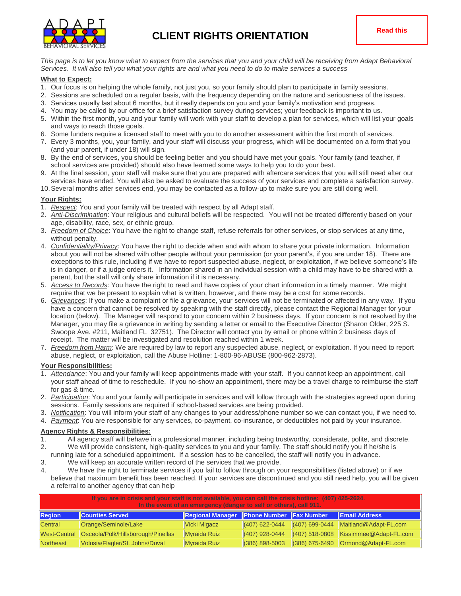

*This page is to let you know what to expect from the services that you and your child will be receiving from Adapt Behavioral Services. It will also tell you what your rights are and what you need to do to make services a success*

#### **What to Expect:**

- 1. Our focus is on helping the whole family, not just you, so your family should plan to participate in family sessions.
- 2. Sessions are scheduled on a regular basis, with the frequency depending on the nature and seriousness of the issues.
- 3. Services usually last about 6 months, but it really depends on you and your family's motivation and progress.
- 4. You may be called by our office for a brief satisfaction survey during services; your feedback is important to us.
- 5. Within the first month, you and your family will work with your staff to develop a plan for services, which will list your goals and ways to reach those goals.
- 6. Some funders require a licensed staff to meet with you to do another assessment within the first month of services.
- 7. Every 3 months, you, your family, and your staff will discuss your progress, which will be documented on a form that you (and your parent, if under 18) will sign.
- 8. By the end of services, you should be feeling better and you should have met your goals. Your family (and teacher, if school services are provided) should also have learned some ways to help you to do your best.
- 9. At the final session, your staff will make sure that you are prepared with aftercare services that you will still need after our services have ended. You will also be asked to evaluate the success of your services and complete a satisfaction survey.
- 10.Several months after services end, you may be contacted as a follow-up to make sure you are still doing well.

# **Your Rights:**

- 1. *Respect*: You and your family will be treated with respect by all Adapt staff.
- 2. *Anti-Discrimination*: Your religious and cultural beliefs will be respected. You will not be treated differently based on your age, disability, race, sex, or ethnic group.
- 3. *Freedom of Choice*: You have the right to change staff, refuse referrals for other services, or stop services at any time, without penalty.
- 4. *Confidentiality/Privacy*: You have the right to decide when and with whom to share your private information. Information about you will not be shared with other people without your permission (or your parent's, if you are under 18). There are exceptions to this rule, including if we have to report suspected abuse, neglect, or exploitation, if we believe someone's life is in danger, or if a judge orders it. Information shared in an individual session with a child may have to be shared with a parent, but the staff will only share information if it is necessary.
- 5. *Access to Records*: You have the right to read and have copies of your chart information in a timely manner. We might require that we be present to explain what is written, however, and there may be a cost for some records.
- 6. *Grievances*: If you make a complaint or file a grievance, your services will not be terminated or affected in any way. If you have a concern that cannot be resolved by speaking with the staff directly, please contact the Regional Manager for your location (below). The Manager will respond to your concern within 2 business days. If your concern is not resolved by the Manager, you may file a grievance in writing by sending a letter or email to the Executive Director (Sharon Older, 225 S. Swoope Ave. #211, Maitland FL 32751). The Director will contact you by email or phone within 2 business days of receipt. The matter will be investigated and resolution reached within 1 week.
- 7. *Freedom from Harm*: We are required by law to report any suspected abuse, neglect, or exploitation. If you need to report abuse, neglect, or exploitation, call the Abuse Hotline: 1-800-96-ABUSE (800-962-2873).

#### **Your Responsibilities:**

- 1. *Attendance*: You and your family will keep appointments made with your staff. If you cannot keep an appointment, call your staff ahead of time to reschedule. If you no-show an appointment, there may be a travel charge to reimburse the staff for gas & time.
- 2. *Participation*: You and your family will participate in services and will follow through with the strategies agreed upon during sessions. Family sessions are required if school-based services are being provided.
- 3. *Notification*: You will inform your staff of any changes to your address/phone number so we can contact you, if we need to.
- 4. *Payment*: You are responsible for any services, co-payment, co-insurance, or deductibles not paid by your insurance.

#### **Agency Rights & Responsibilities:**

- 1. All agency staff will behave in a professional manner, including being trustworthy, considerate, polite, and discrete. 2. We will provide consistent, high-quality services to you and your family. The staff should notify you if he/she is
- running late for a scheduled appointment. If a session has to be cancelled, the staff will notify you in advance.
- 3. We will keep an accurate written record of the services that we provide.
- 4. We have the right to terminate services if you fail to follow through on your responsibilities (listed above) or if we believe that maximum benefit has been reached. If your services are discontinued and you still need help, you will be given a referral to another agency that can help

| If you are in crisis and your staff is not available, you can call the crisis hotline: (407) 425-2624.<br>In the event of an emergency (danger to self or others), call 911. |                                                 |                                          |                    |                  |                                                   |  |  |  |
|------------------------------------------------------------------------------------------------------------------------------------------------------------------------------|-------------------------------------------------|------------------------------------------|--------------------|------------------|---------------------------------------------------|--|--|--|
| <b>Region</b>                                                                                                                                                                | <b>Counties Served</b>                          | Regional Manager Phone Number Fax Number |                    |                  | <b>Email Address</b>                              |  |  |  |
| Central                                                                                                                                                                      | Orange/Seminole/Lake                            | Vicki Migacz                             | $ (407)$ 622-0444  | $(407)$ 699-0444 | Maitland@Adapt-FL.com                             |  |  |  |
|                                                                                                                                                                              | West-Central Osceola/Polk/Hillsborough/Pinellas | Myraida Ruiz                             | $(407)$ 928-0444   | $(407)$ 518-0808 | Kissimmee@Adapt-FL.com                            |  |  |  |
| Northeast                                                                                                                                                                    | Volusia/Flagler/St. Johns/Duval                 | Myraida Ruiz                             | $(386) 898 - 5003$ |                  | $(386)$ 675-6490 $\sqrt{2}$ Ormond @ Adapt-FL.com |  |  |  |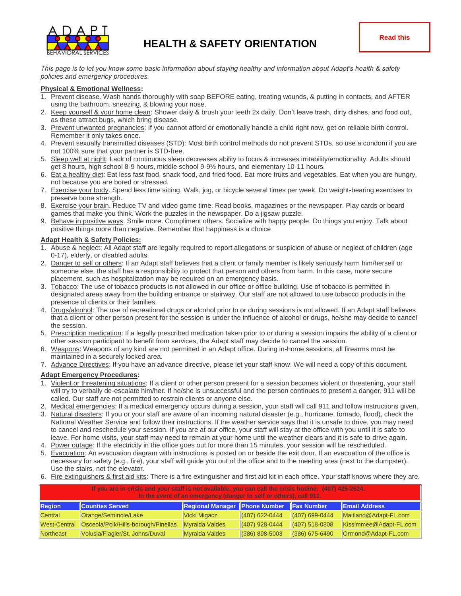

*This page is to let you know some basic information about staying healthy and information about Adapt's health & safety policies and emergency procedures.*

# **Physical & Emotional Wellness:**

- 1. Prevent disease. Wash hands thoroughly with soap BEFORE eating, treating wounds, & putting in contacts, and AFTER using the bathroom, sneezing, & blowing your nose.
- 2. Keep yourself & your home clean: Shower daily & brush your teeth 2x daily. Don't leave trash, dirty dishes, and food out, as these attract bugs, which bring disease.
- 3. Prevent unwanted pregnancies: If you cannot afford or emotionally handle a child right now, get on reliable birth control. Remember it only takes once.
- 4. Prevent sexually transmitted diseases (STD): Most birth control methods do not prevent STDs, so use a condom if you are not 100% sure that your partner is STD-free.
- 5. Sleep well at night: Lack of continuous sleep decreases ability to focus & increases irritability/emotionality. Adults should get 8 hours, high school 8-9 hours, middle school 9-9½ hours, and elementary 10-11 hours.
- 6. Eat a healthy diet: Eat less fast food, snack food, and fried food. Eat more fruits and vegetables. Eat when you are hungry, not because you are bored or stressed.
- 7. Exercise your body. Spend less time sitting. Walk, jog, or bicycle several times per week. Do weight-bearing exercises to preserve bone strength.
- 8. Exercise your brain. Reduce TV and video game time. Read books, magazines or the newspaper. Play cards or board games that make you think. Work the puzzles in the newspaper. Do a jigsaw puzzle.
- 9. Behave in positive ways. Smile more. Compliment others. Socialize with happy people. Do things you enjoy. Talk about positive things more than negative. Remember that happiness is a choice

# **Adapt Health & Safety Policies:**

- 1. Abuse & neglect: All Adapt staff are legally required to report allegations or suspicion of abuse or neglect of children (age 0-17), elderly, or disabled adults.
- 2. Danger to self or others: If an Adapt staff believes that a client or family member is likely seriously harm him/herself or someone else, the staff has a responsibility to protect that person and others from harm. In this case, more secure placement, such as hospitalization may be required on an emergency basis.
- 3. Tobacco: The use of tobacco products is not allowed in our office or office building. Use of tobacco is permitted in designated areas away from the building entrance or stairway. Our staff are not allowed to use tobacco products in the presence of clients or their families.
- 4. Drugs/alcohol: The use of recreational drugs or alcohol prior to or during sessions is not allowed. If an Adapt staff believes that a client or other person present for the session is under the influence of alcohol or drugs, he/she may decide to cancel the session.
- 5. Prescription medication: If a legally prescribed medication taken prior to or during a session impairs the ability of a client or other session participant to benefit from services, the Adapt staff may decide to cancel the session.
- 6. Weapons: Weapons of any kind are not permitted in an Adapt office. During in-home sessions, all firearms must be maintained in a securely locked area.
- 7. Advance Directives: If you have an advance directive, please let your staff know. We will need a copy of this document.

# **Adapt Emergency Procedures:**

- 1. Violent or threatening situations: If a client or other person present for a session becomes violent or threatening, your staff will try to verbally de-escalate him/her. If he/she is unsuccessful and the person continues to present a danger, 911 will be called. Our staff are not permitted to restrain clients or anyone else.
- 2. Medical emergencies: If a medical emergency occurs during a session, your staff will call 911 and follow instructions given.
- 3. Natural disasters: If you or your staff are aware of an incoming natural disaster (e.g., hurricane, tornado, flood), check the National Weather Service and follow their instructions. If the weather service says that it is unsafe to drive, you may need to cancel and reschedule your session. If you are at our office, your staff will stay at the office with you until it is safe to leave. For home visits, your staff may need to remain at your home until the weather clears and it is safe to drive again.
- 4. Power outage: If the electricity in the office goes out for more than 15 minutes, your session will be rescheduled.
- 5. Evacuation: An evacuation diagram with instructions is posted on or beside the exit door. If an evacuation of the office is necessary for safety (e.g., fire), your staff will guide you out of the office and to the meeting area (next to the dumpster). Use the stairs, not the elevator.
- 6. Fire extinguishers & first aid kits: There is a fire extinguisher and first aid kit in each office. Your staff knows where they are.

| . If you are in crisis and your staff is not available, you can call the crisis hotline: $(407)$ 425-2624.<br>In the event of an emergency (danger to self or others), call 911. |                                     |                               |                    |                    |                        |  |  |  |
|----------------------------------------------------------------------------------------------------------------------------------------------------------------------------------|-------------------------------------|-------------------------------|--------------------|--------------------|------------------------|--|--|--|
| <b>Region</b>                                                                                                                                                                    | <b>Counties Served</b>              | Regional Manager Phone Number |                    | <b>IFax Number</b> | <b>IEmail Address</b>  |  |  |  |
| Central                                                                                                                                                                          | Orange/Seminole/Lake                | Vicki Migacz                  | $(407)$ 622-0444   | $(407)$ 699-0444   | Maitland@Adapt-FL.com  |  |  |  |
| <b>West-Central</b>                                                                                                                                                              | Osceola/Polk/Hills-borough/Pinellas | <b>Myraida Valdes</b>         | $(407)$ 928-0444   | $(407)$ 518-0808   | Kissimmee@Adapt-FL.com |  |  |  |
| <b>Northeast</b>                                                                                                                                                                 | Volusia/Flagler/St. Johns/Duval     | <b>Myraida Valdes</b>         | $(386) 898 - 5003$ | (386) 675-6490     | Ormond@Adapt-FL.com    |  |  |  |